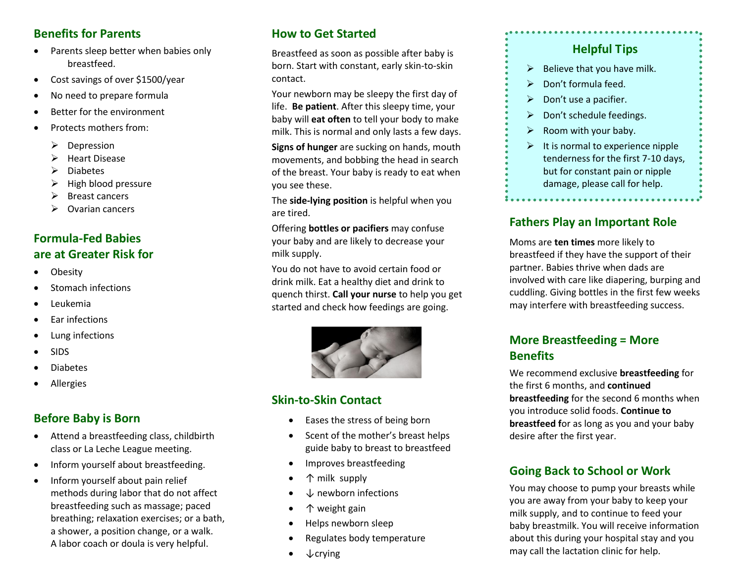#### **Benefits for Parents**

- Parents sleep better when babies only breastfeed.
- Cost savings of over \$1500/year
- No need to prepare formula
- Better for the environment
- Protects mothers from:
	- $\triangleright$  Depression
	- $\triangleright$  Heart Disease
	- $\triangleright$  Diabetes
	- $\triangleright$  High blood pressure
	- $\triangleright$  Breast cancers
	- $\triangleright$  Ovarian cancers

## **Formula-Fed Babies are at Greater Risk for**

- Obesity
- Stomach infections
- Leukemia
- Ear infections
- Lung infections
- SIDS
- Diabetes
- Allergies

## **Before Baby is Born**

- Attend a breastfeeding class, childbirth class or La Leche League meeting.
- Inform yourself about breastfeeding.
- Inform yourself about pain relief methods during labor that do not affect breastfeeding such as massage; paced breathing; relaxation exercises; or a bath, a shower, a position change, or a walk. A labor coach or doula is very helpful.

## **How to Get Started**

Breastfeed as soon as possible after baby is born. Start with constant, early skin-to-skin contact.

Your newborn may be sleepy the first day of life. **Be patient**. After this sleepy time, your baby will **eat often** to tell your body to make milk. This is normal and only lasts a few days.

**Signs of hunger** are sucking on hands, mouth movements, and bobbing the head in search of the breast. Your baby is ready to eat when you see these.

The **side-lying position** is helpful when you are tired.

Offering **bottles or pacifiers** may confuse your baby and are likely to decrease your milk supply.

You do not have to avoid certain food or drink milk. Eat a healthy diet and drink to quench thirst. **Call your nurse** to help you get started and check how feedings are going.



## **Skin-to-Skin Contact**

- Eases the stress of being born
- Scent of the mother's breast helps guide baby to breast to breastfeed
- Improves breastfeeding
- ↑ milk supply
- ↓ newborn infections
- ↑ weight gain
- Helps newborn sleep
- Regulates body temperature
- $\downarrow$  crying

## **Helpful Tips**

- $\triangleright$  Believe that you have milk.
- $\triangleright$  Don't formula feed.
- $\triangleright$  Don't use a pacifier.
- $\triangleright$  Don't schedule feedings.
- $\triangleright$  Room with your baby.
- $\triangleright$  It is normal to experience nipple tenderness for the first 7-10 days, but for constant pain or nipple damage, please call for help.

### **Fathers Play an Important Role**

Moms are **ten times** more likely to breastfeed if they have the support of their partner. Babies thrive when dads are involved with care like diapering, burping and cuddling. Giving bottles in the first few weeks may interfere with breastfeeding success.

## **More Breastfeeding = More Benefits**

We recommend exclusive **breastfeeding** for the first 6 months, and **continued breastfeeding** for the second 6 months when you introduce solid foods. **Continue to breastfeed f**or as long as you and your baby desire after the first year.

## **Going Back to School or Work**

You may choose to pump your breasts while you are away from your baby to keep your milk supply, and to continue to feed your baby breastmilk. You will receive information about this during your hospital stay and you may call the lactation clinic for help.